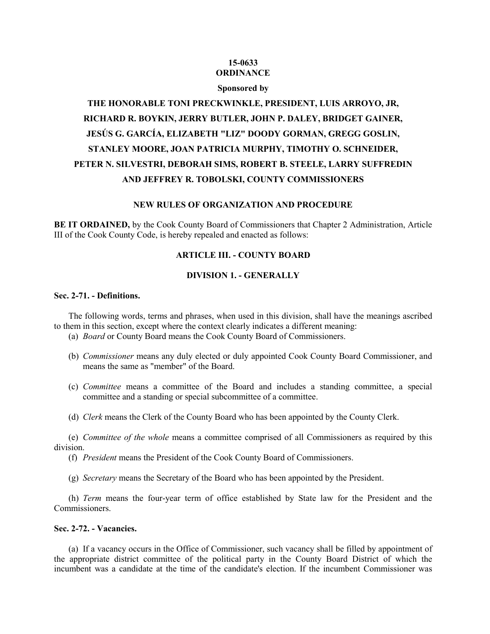## **15-0633 ORDINANCE**

#### **Sponsored by**

# **THE HONORABLE TONI PRECKWINKLE, PRESIDENT, LUIS ARROYO, JR, RICHARD R. BOYKIN, JERRY BUTLER, JOHN P. DALEY, BRIDGET GAINER, JESÚS G. GARCÍA, ELIZABETH "LIZ" DOODY GORMAN, GREGG GOSLIN, STANLEY MOORE, JOAN PATRICIA MURPHY, TIMOTHY O. SCHNEIDER, PETER N. SILVESTRI, DEBORAH SIMS, ROBERT B. STEELE, LARRY SUFFREDIN AND JEFFREY R. TOBOLSKI, COUNTY COMMISSIONERS**

## **NEW RULES OF ORGANIZATION AND PROCEDURE**

**BE IT ORDAINED,** by the Cook County Board of Commissioners that Chapter 2 Administration, Article III of the Cook County Code, is hereby repealed and enacted as follows:

# **ARTICLE III. - COUNTY BOARD**

# **DIVISION 1. - GENERALLY**

# **Sec. 2-71. - Definitions.**

The following words, terms and phrases, when used in this division, shall have the meanings ascribed to them in this section, except where the context clearly indicates a different meaning:

- (a) *Board* or County Board means the Cook County Board of Commissioners.
- (b) *Commissioner* means any duly elected or duly appointed Cook County Board Commissioner, and means the same as "member" of the Board.
- (c) *Committee* means a committee of the Board and includes a standing committee, a special committee and a standing or special subcommittee of a committee.
- (d) *Clerk* means the Clerk of the County Board who has been appointed by the County Clerk.

(e) *Committee of the whole* means a committee comprised of all Commissioners as required by this division.

(f) *President* means the President of the Cook County Board of Commissioners.

(g) *Secretary* means the Secretary of the Board who has been appointed by the President.

(h) *Term* means the four-year term of office established by State law for the President and the Commissioners.

## **Sec. 2-72. - Vacancies.**

(a) If a vacancy occurs in the Office of Commissioner, such vacancy shall be filled by appointment of the appropriate district committee of the political party in the County Board District of which the incumbent was a candidate at the time of the candidate's election. If the incumbent Commissioner was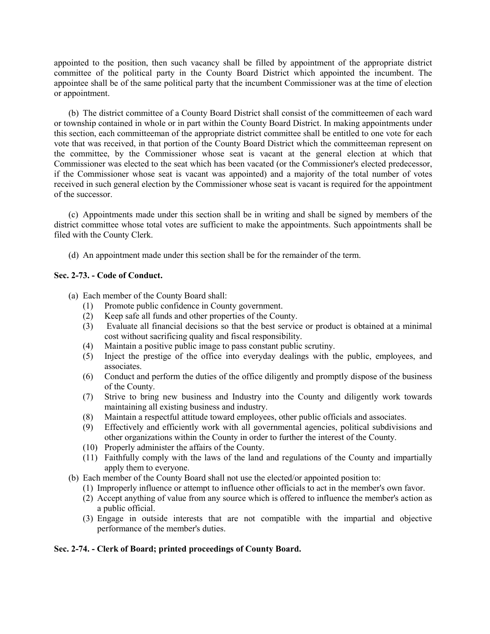appointed to the position, then such vacancy shall be filled by appointment of the appropriate district committee of the political party in the County Board District which appointed the incumbent. The appointee shall be of the same political party that the incumbent Commissioner was at the time of election or appointment.

(b) The district committee of a County Board District shall consist of the committeemen of each ward or township contained in whole or in part within the County Board District. In making appointments under this section, each committeeman of the appropriate district committee shall be entitled to one vote for each vote that was received, in that portion of the County Board District which the committeeman represent on the committee, by the Commissioner whose seat is vacant at the general election at which that Commissioner was elected to the seat which has been vacated (or the Commissioner's elected predecessor, if the Commissioner whose seat is vacant was appointed) and a majority of the total number of votes received in such general election by the Commissioner whose seat is vacant is required for the appointment of the successor.

(c) Appointments made under this section shall be in writing and shall be signed by members of the district committee whose total votes are sufficient to make the appointments. Such appointments shall be filed with the County Clerk.

(d) An appointment made under this section shall be for the remainder of the term.

# **Sec. 2-73. - Code of Conduct.**

(a) Each member of the County Board shall:

- (1) Promote public confidence in County government.
- (2) Keep safe all funds and other properties of the County.
- (3) Evaluate all financial decisions so that the best service or product is obtained at a minimal cost without sacrificing quality and fiscal responsibility.
- (4) Maintain a positive public image to pass constant public scrutiny.
- (5) Inject the prestige of the office into everyday dealings with the public, employees, and associates.
- (6) Conduct and perform the duties of the office diligently and promptly dispose of the business of the County.
- (7) Strive to bring new business and Industry into the County and diligently work towards maintaining all existing business and industry.
- (8) Maintain a respectful attitude toward employees, other public officials and associates.
- (9) Effectively and efficiently work with all governmental agencies, political subdivisions and other organizations within the County in order to further the interest of the County.
- (10) Properly administer the affairs of the County.
- (11) Faithfully comply with the laws of the land and regulations of the County and impartially apply them to everyone.
- (b) Each member of the County Board shall not use the elected/or appointed position to:
	- (1) Improperly influence or attempt to influence other officials to act in the member's own favor.
	- (2) Accept anything of value from any source which is offered to influence the member's action as a public official.
	- (3) Engage in outside interests that are not compatible with the impartial and objective performance of the member's duties.

# **Sec. 2-74. - Clerk of Board; printed proceedings of County Board.**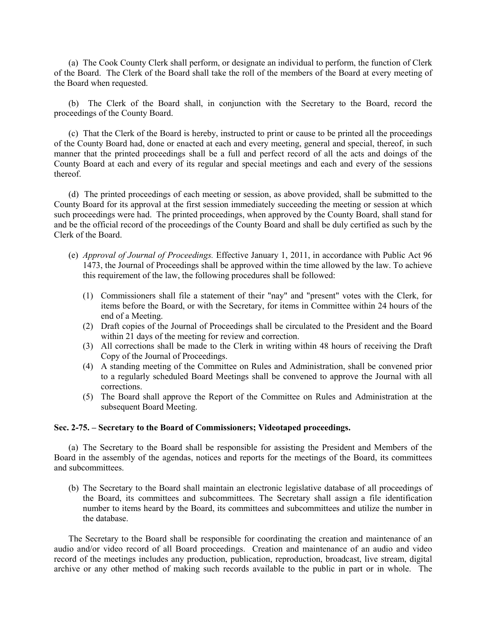(a) The Cook County Clerk shall perform, or designate an individual to perform, the function of Clerk of the Board. The Clerk of the Board shall take the roll of the members of the Board at every meeting of the Board when requested.

(b) The Clerk of the Board shall, in conjunction with the Secretary to the Board, record the proceedings of the County Board.

(c) That the Clerk of the Board is hereby, instructed to print or cause to be printed all the proceedings of the County Board had, done or enacted at each and every meeting, general and special, thereof, in such manner that the printed proceedings shall be a full and perfect record of all the acts and doings of the County Board at each and every of its regular and special meetings and each and every of the sessions thereof.

(d) The printed proceedings of each meeting or session, as above provided, shall be submitted to the County Board for its approval at the first session immediately succeeding the meeting or session at which such proceedings were had. The printed proceedings, when approved by the County Board, shall stand for and be the official record of the proceedings of the County Board and shall be duly certified as such by the Clerk of the Board.

- (e) *Approval of Journal of Proceedings.* Effective January 1, 2011, in accordance with Public Act 96 1473, the Journal of Proceedings shall be approved within the time allowed by the law. To achieve this requirement of the law, the following procedures shall be followed:
	- (1) Commissioners shall file a statement of their "nay" and "present" votes with the Clerk, for items before the Board, or with the Secretary, for items in Committee within 24 hours of the end of a Meeting.
	- (2) Draft copies of the Journal of Proceedings shall be circulated to the President and the Board within 21 days of the meeting for review and correction.
	- (3) All corrections shall be made to the Clerk in writing within 48 hours of receiving the Draft Copy of the Journal of Proceedings.
	- (4) A standing meeting of the Committee on Rules and Administration, shall be convened prior to a regularly scheduled Board Meetings shall be convened to approve the Journal with all corrections.
	- (5) The Board shall approve the Report of the Committee on Rules and Administration at the subsequent Board Meeting.

## **Sec. 2-75. – Secretary to the Board of Commissioners; Videotaped proceedings.**

(a) The Secretary to the Board shall be responsible for assisting the President and Members of the Board in the assembly of the agendas, notices and reports for the meetings of the Board, its committees and subcommittees.

(b) The Secretary to the Board shall maintain an electronic legislative database of all proceedings of the Board, its committees and subcommittees. The Secretary shall assign a file identification number to items heard by the Board, its committees and subcommittees and utilize the number in the database.

The Secretary to the Board shall be responsible for coordinating the creation and maintenance of an audio and/or video record of all Board proceedings. Creation and maintenance of an audio and video record of the meetings includes any production, publication, reproduction, broadcast, live stream, digital archive or any other method of making such records available to the public in part or in whole. The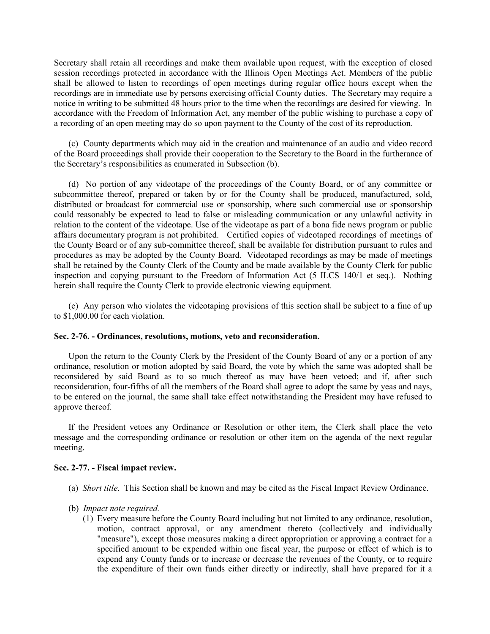Secretary shall retain all recordings and make them available upon request, with the exception of closed session recordings protected in accordance with the Illinois Open Meetings Act. Members of the public shall be allowed to listen to recordings of open meetings during regular office hours except when the recordings are in immediate use by persons exercising official County duties. The Secretary may require a notice in writing to be submitted 48 hours prior to the time when the recordings are desired for viewing. In accordance with the Freedom of Information Act, any member of the public wishing to purchase a copy of a recording of an open meeting may do so upon payment to the County of the cost of its reproduction.

(c) County departments which may aid in the creation and maintenance of an audio and video record of the Board proceedings shall provide their cooperation to the Secretary to the Board in the furtherance of the Secretary's responsibilities as enumerated in Subsection (b).

(d) No portion of any videotape of the proceedings of the County Board, or of any committee or subcommittee thereof, prepared or taken by or for the County shall be produced, manufactured, sold, distributed or broadcast for commercial use or sponsorship, where such commercial use or sponsorship could reasonably be expected to lead to false or misleading communication or any unlawful activity in relation to the content of the videotape. Use of the videotape as part of a bona fide news program or public affairs documentary program is not prohibited. Certified copies of videotaped recordings of meetings of the County Board or of any sub-committee thereof, shall be available for distribution pursuant to rules and procedures as may be adopted by the County Board. Videotaped recordings as may be made of meetings shall be retained by the County Clerk of the County and be made available by the County Clerk for public inspection and copying pursuant to the Freedom of Information Act (5 ILCS 140/1 et seq.). Nothing herein shall require the County Clerk to provide electronic viewing equipment.

(e) Any person who violates the videotaping provisions of this section shall be subject to a fine of up to \$1,000.00 for each violation.

#### **Sec. 2-76. - Ordinances, resolutions, motions, veto and reconsideration.**

Upon the return to the County Clerk by the President of the County Board of any or a portion of any ordinance, resolution or motion adopted by said Board, the vote by which the same was adopted shall be reconsidered by said Board as to so much thereof as may have been vetoed; and if, after such reconsideration, four-fifths of all the members of the Board shall agree to adopt the same by yeas and nays, to be entered on the journal, the same shall take effect notwithstanding the President may have refused to approve thereof.

If the President vetoes any Ordinance or Resolution or other item, the Clerk shall place the veto message and the corresponding ordinance or resolution or other item on the agenda of the next regular meeting.

## **Sec. 2-77. - Fiscal impact review.**

- (a) *Short title.* This Section shall be known and may be cited as the Fiscal Impact Review Ordinance.
- (b) *Impact note required.*
	- (1) Every measure before the County Board including but not limited to any ordinance, resolution, motion, contract approval, or any amendment thereto (collectively and individually "measure"), except those measures making a direct appropriation or approving a contract for a specified amount to be expended within one fiscal year, the purpose or effect of which is to expend any County funds or to increase or decrease the revenues of the County, or to require the expenditure of their own funds either directly or indirectly, shall have prepared for it a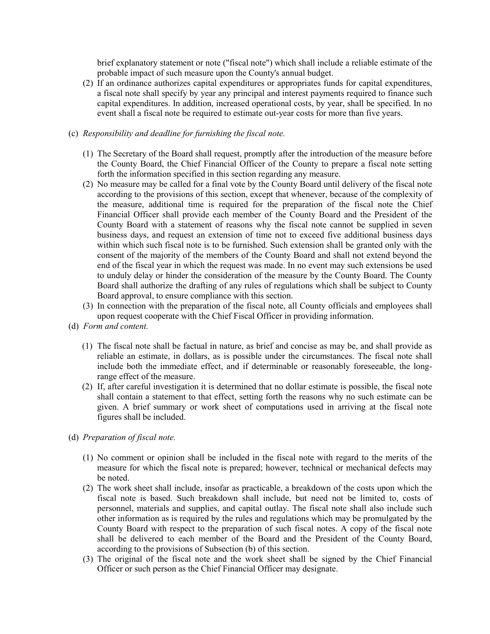brief explanatory statement or note ("fiscal note") which shall include a reliable estimate of the probable impact of such measure upon the County's annual budget.

(2) If an ordinance authorizes capital expenditures or appropriates funds for capital expenditures, a fiscal note shall specify by year any principal and interest payments required to finance such capital expenditures. In addition, increased operational costs, by year, shall be specified. In no event shall a fiscal note be required to estimate out-year costs for more than five years.

# (c) *Responsibility and deadline for furnishing the fiscal note.*

- (1) The Secretary of the Board shall request, promptly after the introduction of the measure before the County Board, the Chief Financial Officer of the County to prepare a fiscal note setting forth the information specified in this section regarding any measure.
- (2) No measure may be called for a final vote by the County Board until delivery of the fiscal note according to the provisions of this section, except that whenever, because of the complexity of the measure, additional time is required for the preparation of the fiscal note the Chief Financial Officer shall provide each member of the County Board and the President of the County Board with a statement of reasons why the fiscal note cannot be supplied in seven business days, and request an extension of time not to exceed five additional business days within which such fiscal note is to be furnished. Such extension shall be granted only with the consent of the majority of the members of the County Board and shall not extend beyond the end of the fiscal year in which the request was made. In no event may such extensions be used to unduly delay or hinder the consideration of the measure by the County Board. The County Board shall authorize the drafting of any rules of regulations which shall be subject to County Board approval, to ensure compliance with this section.
- (3) In connection with the preparation of the fiscal note, all County officials and employees shall upon request cooperate with the Chief Fiscal Officer in providing information.
- (d) *Form and content.*
	- (1) The fiscal note shall be factual in nature, as brief and concise as may be, and shall provide as reliable an estimate, in dollars, as is possible under the circumstances. The fiscal note shall include both the immediate effect, and if determinable or reasonably foreseeable, the longrange effect of the measure.
	- (2) If, after careful investigation it is determined that no dollar estimate is possible, the fiscal note shall contain a statement to that effect, setting forth the reasons why no such estimate can be given. A brief summary or work sheet of computations used in arriving at the fiscal note figures shall be included.
- (d) *Preparation of fiscal note.*
	- (1) No comment or opinion shall be included in the fiscal note with regard to the merits of the measure for which the fiscal note is prepared; however, technical or mechanical defects may be noted.
	- (2) The work sheet shall include, insofar as practicable, a breakdown of the costs upon which the fiscal note is based. Such breakdown shall include, but need not be limited to, costs of personnel, materials and supplies, and capital outlay. The fiscal note shall also include such other information as is required by the rules and regulations which may be promulgated by the County Board with respect to the preparation of such fiscal notes. A copy of the fiscal note shall be delivered to each member of the Board and the President of the County Board, according to the provisions of Subsection (b) of this section.
	- (3) The original of the fiscal note and the work sheet shall be signed by the Chief Financial Officer or such person as the Chief Financial Officer may designate.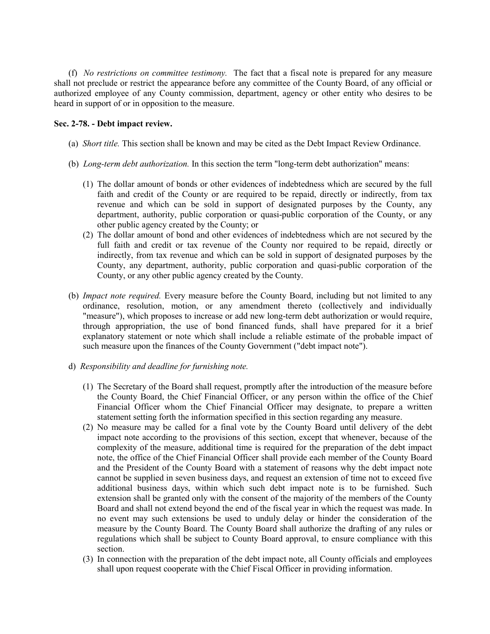(f) *No restrictions on committee testimony.* The fact that a fiscal note is prepared for any measure shall not preclude or restrict the appearance before any committee of the County Board, of any official or authorized employee of any County commission, department, agency or other entity who desires to be heard in support of or in opposition to the measure.

## **Sec. 2-78. - Debt impact review.**

- (a) *Short title.* This section shall be known and may be cited as the Debt Impact Review Ordinance.
- (b) *Long-term debt authorization.* In this section the term "long-term debt authorization" means:
	- (1) The dollar amount of bonds or other evidences of indebtedness which are secured by the full faith and credit of the County or are required to be repaid, directly or indirectly, from tax revenue and which can be sold in support of designated purposes by the County, any department, authority, public corporation or quasi-public corporation of the County, or any other public agency created by the County; or
	- (2) The dollar amount of bond and other evidences of indebtedness which are not secured by the full faith and credit or tax revenue of the County nor required to be repaid, directly or indirectly, from tax revenue and which can be sold in support of designated purposes by the County, any department, authority, public corporation and quasi-public corporation of the County, or any other public agency created by the County.
- (b) *Impact note required.* Every measure before the County Board, including but not limited to any ordinance, resolution, motion, or any amendment thereto (collectively and individually "measure"), which proposes to increase or add new long-term debt authorization or would require, through appropriation, the use of bond financed funds, shall have prepared for it a brief explanatory statement or note which shall include a reliable estimate of the probable impact of such measure upon the finances of the County Government ("debt impact note").
- d) *Responsibility and deadline for furnishing note.*
	- (1) The Secretary of the Board shall request, promptly after the introduction of the measure before the County Board, the Chief Financial Officer, or any person within the office of the Chief Financial Officer whom the Chief Financial Officer may designate, to prepare a written statement setting forth the information specified in this section regarding any measure.
	- (2) No measure may be called for a final vote by the County Board until delivery of the debt impact note according to the provisions of this section, except that whenever, because of the complexity of the measure, additional time is required for the preparation of the debt impact note, the office of the Chief Financial Officer shall provide each member of the County Board and the President of the County Board with a statement of reasons why the debt impact note cannot be supplied in seven business days, and request an extension of time not to exceed five additional business days, within which such debt impact note is to be furnished. Such extension shall be granted only with the consent of the majority of the members of the County Board and shall not extend beyond the end of the fiscal year in which the request was made. In no event may such extensions be used to unduly delay or hinder the consideration of the measure by the County Board. The County Board shall authorize the drafting of any rules or regulations which shall be subject to County Board approval, to ensure compliance with this section.
	- (3) In connection with the preparation of the debt impact note, all County officials and employees shall upon request cooperate with the Chief Fiscal Officer in providing information.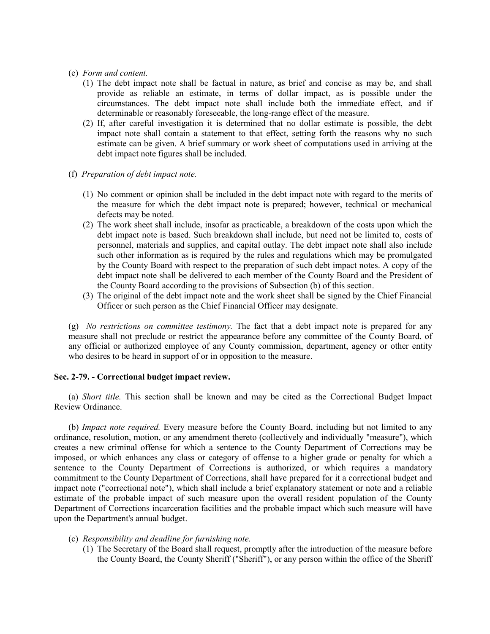- (e) *Form and content.*
	- (1) The debt impact note shall be factual in nature, as brief and concise as may be, and shall provide as reliable an estimate, in terms of dollar impact, as is possible under the circumstances. The debt impact note shall include both the immediate effect, and if determinable or reasonably foreseeable, the long-range effect of the measure.
	- (2) If, after careful investigation it is determined that no dollar estimate is possible, the debt impact note shall contain a statement to that effect, setting forth the reasons why no such estimate can be given. A brief summary or work sheet of computations used in arriving at the debt impact note figures shall be included.
- (f) *Preparation of debt impact note.*
	- (1) No comment or opinion shall be included in the debt impact note with regard to the merits of the measure for which the debt impact note is prepared; however, technical or mechanical defects may be noted.
	- (2) The work sheet shall include, insofar as practicable, a breakdown of the costs upon which the debt impact note is based. Such breakdown shall include, but need not be limited to, costs of personnel, materials and supplies, and capital outlay. The debt impact note shall also include such other information as is required by the rules and regulations which may be promulgated by the County Board with respect to the preparation of such debt impact notes. A copy of the debt impact note shall be delivered to each member of the County Board and the President of the County Board according to the provisions of Subsection (b) of this section.
	- (3) The original of the debt impact note and the work sheet shall be signed by the Chief Financial Officer or such person as the Chief Financial Officer may designate.

(g) *No restrictions on committee testimony.* The fact that a debt impact note is prepared for any measure shall not preclude or restrict the appearance before any committee of the County Board, of any official or authorized employee of any County commission, department, agency or other entity who desires to be heard in support of or in opposition to the measure.

# **Sec. 2-79. - Correctional budget impact review.**

(a) *Short title.* This section shall be known and may be cited as the Correctional Budget Impact Review Ordinance.

(b) *Impact note required.* Every measure before the County Board, including but not limited to any ordinance, resolution, motion, or any amendment thereto (collectively and individually "measure"), which creates a new criminal offense for which a sentence to the County Department of Corrections may be imposed, or which enhances any class or category of offense to a higher grade or penalty for which a sentence to the County Department of Corrections is authorized, or which requires a mandatory commitment to the County Department of Corrections, shall have prepared for it a correctional budget and impact note ("correctional note"), which shall include a brief explanatory statement or note and a reliable estimate of the probable impact of such measure upon the overall resident population of the County Department of Corrections incarceration facilities and the probable impact which such measure will have upon the Department's annual budget.

- (c) *Responsibility and deadline for furnishing note.*
	- (1) The Secretary of the Board shall request, promptly after the introduction of the measure before the County Board, the County Sheriff ("Sheriff"), or any person within the office of the Sheriff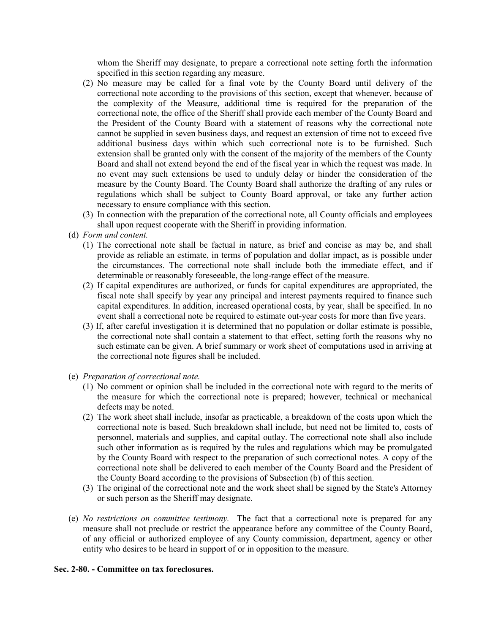whom the Sheriff may designate, to prepare a correctional note setting forth the information specified in this section regarding any measure.

- (2) No measure may be called for a final vote by the County Board until delivery of the correctional note according to the provisions of this section, except that whenever, because of the complexity of the Measure, additional time is required for the preparation of the correctional note, the office of the Sheriff shall provide each member of the County Board and the President of the County Board with a statement of reasons why the correctional note cannot be supplied in seven business days, and request an extension of time not to exceed five additional business days within which such correctional note is to be furnished. Such extension shall be granted only with the consent of the majority of the members of the County Board and shall not extend beyond the end of the fiscal year in which the request was made. In no event may such extensions be used to unduly delay or hinder the consideration of the measure by the County Board. The County Board shall authorize the drafting of any rules or regulations which shall be subject to County Board approval, or take any further action necessary to ensure compliance with this section.
- (3) In connection with the preparation of the correctional note, all County officials and employees shall upon request cooperate with the Sheriff in providing information.
- (d) *Form and content.*
	- (1) The correctional note shall be factual in nature, as brief and concise as may be, and shall provide as reliable an estimate, in terms of population and dollar impact, as is possible under the circumstances. The correctional note shall include both the immediate effect, and if determinable or reasonably foreseeable, the long-range effect of the measure.
	- (2) If capital expenditures are authorized, or funds for capital expenditures are appropriated, the fiscal note shall specify by year any principal and interest payments required to finance such capital expenditures. In addition, increased operational costs, by year, shall be specified. In no event shall a correctional note be required to estimate out-year costs for more than five years.
	- (3) If, after careful investigation it is determined that no population or dollar estimate is possible, the correctional note shall contain a statement to that effect, setting forth the reasons why no such estimate can be given. A brief summary or work sheet of computations used in arriving at the correctional note figures shall be included.
- (e) *Preparation of correctional note.*
	- (1) No comment or opinion shall be included in the correctional note with regard to the merits of the measure for which the correctional note is prepared; however, technical or mechanical defects may be noted.
	- (2) The work sheet shall include, insofar as practicable, a breakdown of the costs upon which the correctional note is based. Such breakdown shall include, but need not be limited to, costs of personnel, materials and supplies, and capital outlay. The correctional note shall also include such other information as is required by the rules and regulations which may be promulgated by the County Board with respect to the preparation of such correctional notes. A copy of the correctional note shall be delivered to each member of the County Board and the President of the County Board according to the provisions of Subsection (b) of this section.
	- (3) The original of the correctional note and the work sheet shall be signed by the State's Attorney or such person as the Sheriff may designate.
- (e) *No restrictions on committee testimony.* The fact that a correctional note is prepared for any measure shall not preclude or restrict the appearance before any committee of the County Board, of any official or authorized employee of any County commission, department, agency or other entity who desires to be heard in support of or in opposition to the measure.

# **Sec. 2-80. - Committee on tax foreclosures.**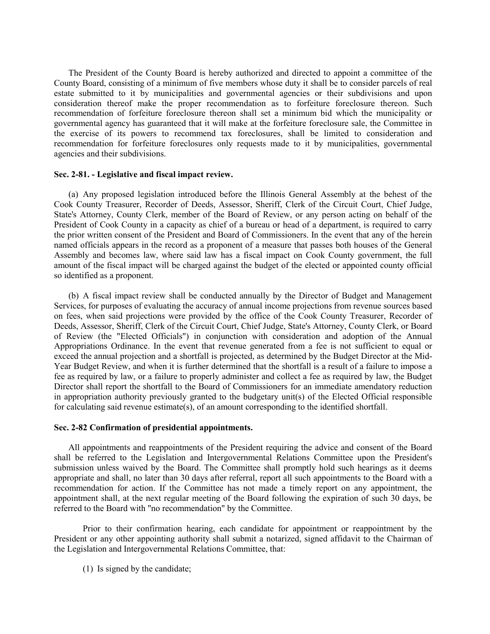The President of the County Board is hereby authorized and directed to appoint a committee of the County Board, consisting of a minimum of five members whose duty it shall be to consider parcels of real estate submitted to it by municipalities and governmental agencies or their subdivisions and upon consideration thereof make the proper recommendation as to forfeiture foreclosure thereon. Such recommendation of forfeiture foreclosure thereon shall set a minimum bid which the municipality or governmental agency has guaranteed that it will make at the forfeiture foreclosure sale, the Committee in the exercise of its powers to recommend tax foreclosures, shall be limited to consideration and recommendation for forfeiture foreclosures only requests made to it by municipalities, governmental agencies and their subdivisions.

#### **Sec. 2-81. - Legislative and fiscal impact review.**

(a) Any proposed legislation introduced before the Illinois General Assembly at the behest of the Cook County Treasurer, Recorder of Deeds, Assessor, Sheriff, Clerk of the Circuit Court, Chief Judge, State's Attorney, County Clerk, member of the Board of Review, or any person acting on behalf of the President of Cook County in a capacity as chief of a bureau or head of a department, is required to carry the prior written consent of the President and Board of Commissioners. In the event that any of the herein named officials appears in the record as a proponent of a measure that passes both houses of the General Assembly and becomes law, where said law has a fiscal impact on Cook County government, the full amount of the fiscal impact will be charged against the budget of the elected or appointed county official so identified as a proponent.

(b) A fiscal impact review shall be conducted annually by the Director of Budget and Management Services, for purposes of evaluating the accuracy of annual income projections from revenue sources based on fees, when said projections were provided by the office of the Cook County Treasurer, Recorder of Deeds, Assessor, Sheriff, Clerk of the Circuit Court, Chief Judge, State's Attorney, County Clerk, or Board of Review (the "Elected Officials") in conjunction with consideration and adoption of the Annual Appropriations Ordinance. In the event that revenue generated from a fee is not sufficient to equal or exceed the annual projection and a shortfall is projected, as determined by the Budget Director at the Mid-Year Budget Review, and when it is further determined that the shortfall is a result of a failure to impose a fee as required by law, or a failure to properly administer and collect a fee as required by law, the Budget Director shall report the shortfall to the Board of Commissioners for an immediate amendatory reduction in appropriation authority previously granted to the budgetary unit(s) of the Elected Official responsible for calculating said revenue estimate(s), of an amount corresponding to the identified shortfall.

## **Sec. 2-82 Confirmation of presidential appointments.**

All appointments and reappointments of the President requiring the advice and consent of the Board shall be referred to the Legislation and Intergovernmental Relations Committee upon the President's submission unless waived by the Board. The Committee shall promptly hold such hearings as it deems appropriate and shall, no later than 30 days after referral, report all such appointments to the Board with a recommendation for action. If the Committee has not made a timely report on any appointment, the appointment shall, at the next regular meeting of the Board following the expiration of such 30 days, be referred to the Board with "no recommendation" by the Committee.

Prior to their confirmation hearing, each candidate for appointment or reappointment by the President or any other appointing authority shall submit a notarized, signed affidavit to the Chairman of the Legislation and Intergovernmental Relations Committee, that:

(1) Is signed by the candidate;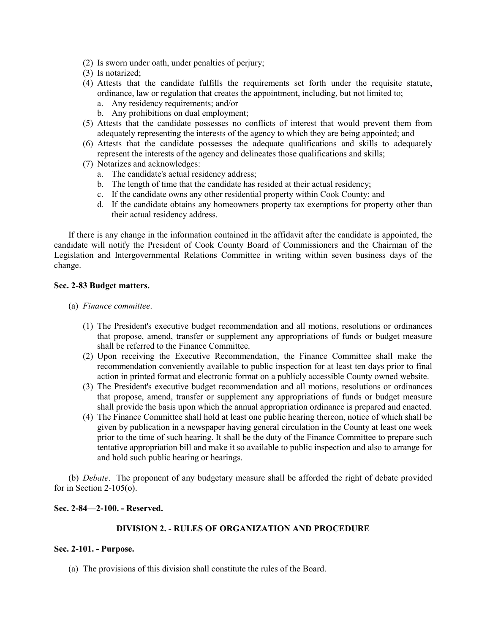- (2) Is sworn under oath, under penalties of perjury;
- (3) Is notarized;
- (4) Attests that the candidate fulfills the requirements set forth under the requisite statute, ordinance, law or regulation that creates the appointment, including, but not limited to;
	- a. Any residency requirements; and/or
	- b. Any prohibitions on dual employment;
- (5) Attests that the candidate possesses no conflicts of interest that would prevent them from adequately representing the interests of the agency to which they are being appointed; and
- (6) Attests that the candidate possesses the adequate qualifications and skills to adequately represent the interests of the agency and delineates those qualifications and skills;
- (7) Notarizes and acknowledges:
	- a. The candidate's actual residency address;
	- b. The length of time that the candidate has resided at their actual residency;
	- c. If the candidate owns any other residential property within Cook County; and
	- d. If the candidate obtains any homeowners property tax exemptions for property other than their actual residency address.

If there is any change in the information contained in the affidavit after the candidate is appointed, the candidate will notify the President of Cook County Board of Commissioners and the Chairman of the Legislation and Intergovernmental Relations Committee in writing within seven business days of the change.

# **Sec. 2-83 Budget matters.**

- (a) *Finance committee*.
	- (1) The President's executive budget recommendation and all motions, resolutions or ordinances that propose, amend, transfer or supplement any appropriations of funds or budget measure shall be referred to the Finance Committee.
	- (2) Upon receiving the Executive Recommendation, the Finance Committee shall make the recommendation conveniently available to public inspection for at least ten days prior to final action in printed format and electronic format on a publicly accessible County owned website.
	- (3) The President's executive budget recommendation and all motions, resolutions or ordinances that propose, amend, transfer or supplement any appropriations of funds or budget measure shall provide the basis upon which the annual appropriation ordinance is prepared and enacted.
	- (4) The Finance Committee shall hold at least one public hearing thereon, notice of which shall be given by publication in a newspaper having general circulation in the County at least one week prior to the time of such hearing. It shall be the duty of the Finance Committee to prepare such tentative appropriation bill and make it so available to public inspection and also to arrange for and hold such public hearing or hearings.

(b) *Debate*. The proponent of any budgetary measure shall be afforded the right of debate provided for in Section 2-105(o).

# **Sec. 2-84—2-100. - Reserved.**

# **DIVISION 2. - RULES OF ORGANIZATION AND PROCEDURE**

## **Sec. 2-101. - Purpose.**

(a) The provisions of this division shall constitute the rules of the Board.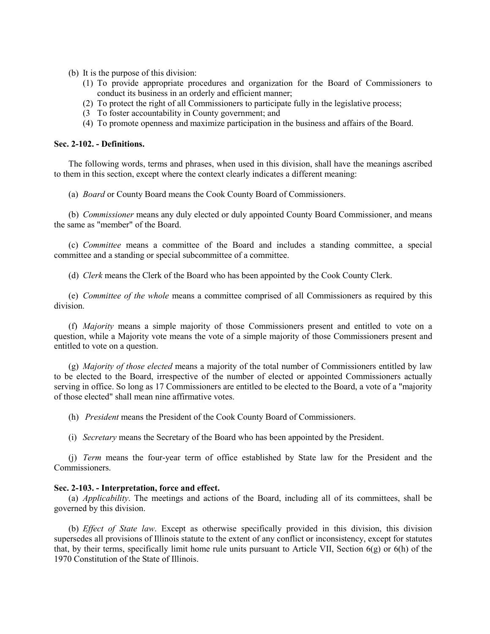- (b) It is the purpose of this division:
	- (1) To provide appropriate procedures and organization for the Board of Commissioners to conduct its business in an orderly and efficient manner;
	- (2) To protect the right of all Commissioners to participate fully in the legislative process;
	- (3 To foster accountability in County government; and
	- (4) To promote openness and maximize participation in the business and affairs of the Board.

## **Sec. 2-102. - Definitions.**

The following words, terms and phrases, when used in this division, shall have the meanings ascribed to them in this section, except where the context clearly indicates a different meaning:

(a) *Board* or County Board means the Cook County Board of Commissioners.

(b) *Commissioner* means any duly elected or duly appointed County Board Commissioner, and means the same as "member" of the Board.

(c) *Committee* means a committee of the Board and includes a standing committee, a special committee and a standing or special subcommittee of a committee.

(d) *Clerk* means the Clerk of the Board who has been appointed by the Cook County Clerk.

(e) *Committee of the whole* means a committee comprised of all Commissioners as required by this division.

(f) *Majority* means a simple majority of those Commissioners present and entitled to vote on a question, while a Majority vote means the vote of a simple majority of those Commissioners present and entitled to vote on a question.

(g) *Majority of those elected* means a majority of the total number of Commissioners entitled by law to be elected to the Board, irrespective of the number of elected or appointed Commissioners actually serving in office. So long as 17 Commissioners are entitled to be elected to the Board, a vote of a "majority of those elected" shall mean nine affirmative votes.

(h) *President* means the President of the Cook County Board of Commissioners.

(i) *Secretary* means the Secretary of the Board who has been appointed by the President.

(j) *Term* means the four-year term of office established by State law for the President and the Commissioners.

## **Sec. 2-103. - Interpretation, force and effect.**

(a) *Applicability*. The meetings and actions of the Board, including all of its committees, shall be governed by this division.

(b) *Effect of State law*. Except as otherwise specifically provided in this division, this division supersedes all provisions of Illinois statute to the extent of any conflict or inconsistency, except for statutes that, by their terms, specifically limit home rule units pursuant to Article VII, Section  $6(g)$  or  $6(h)$  of the 1970 Constitution of the State of Illinois.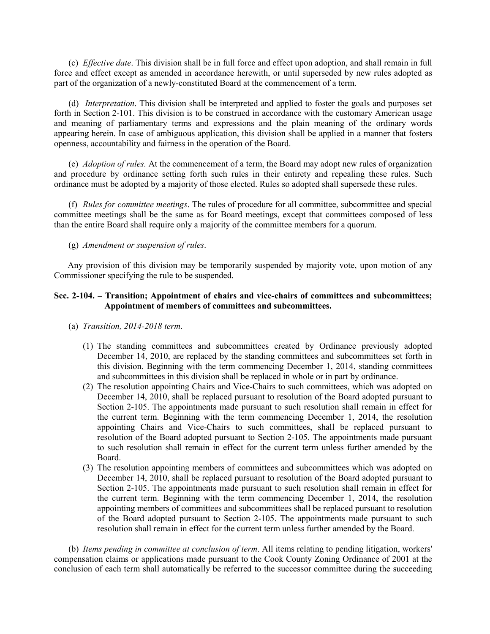(c) *Effective date*. This division shall be in full force and effect upon adoption, and shall remain in full force and effect except as amended in accordance herewith, or until superseded by new rules adopted as part of the organization of a newly-constituted Board at the commencement of a term.

(d) *Interpretation*. This division shall be interpreted and applied to foster the goals and purposes set forth in Section 2-101. This division is to be construed in accordance with the customary American usage and meaning of parliamentary terms and expressions and the plain meaning of the ordinary words appearing herein. In case of ambiguous application, this division shall be applied in a manner that fosters openness, accountability and fairness in the operation of the Board.

(e) *Adoption of rules.* At the commencement of a term, the Board may adopt new rules of organization and procedure by ordinance setting forth such rules in their entirety and repealing these rules. Such ordinance must be adopted by a majority of those elected. Rules so adopted shall supersede these rules.

(f) *Rules for committee meetings*. The rules of procedure for all committee, subcommittee and special committee meetings shall be the same as for Board meetings, except that committees composed of less than the entire Board shall require only a majority of the committee members for a quorum.

## (g) *Amendment or suspension of rules*.

Any provision of this division may be temporarily suspended by majority vote, upon motion of any Commissioner specifying the rule to be suspended.

# Sec. 2-104. – Transition; Appointment of chairs and vice-chairs of committees and subcommittees; **Appointment of members of committees and subcommittees.**

- (a) *Transition, 2014-2018 term*.
	- (1) The standing committees and subcommittees created by Ordinance previously adopted December 14, 2010, are replaced by the standing committees and subcommittees set forth in this division. Beginning with the term commencing December 1, 2014, standing committees and subcommittees in this division shall be replaced in whole or in part by ordinance.
	- (2) The resolution appointing Chairs and Vice-Chairs to such committees, which was adopted on December 14, 2010, shall be replaced pursuant to resolution of the Board adopted pursuant to Section 2-105. The appointments made pursuant to such resolution shall remain in effect for the current term. Beginning with the term commencing December 1, 2014, the resolution appointing Chairs and Vice-Chairs to such committees, shall be replaced pursuant to resolution of the Board adopted pursuant to Section 2-105. The appointments made pursuant to such resolution shall remain in effect for the current term unless further amended by the Board.
	- (3) The resolution appointing members of committees and subcommittees which was adopted on December 14, 2010, shall be replaced pursuant to resolution of the Board adopted pursuant to Section 2-105. The appointments made pursuant to such resolution shall remain in effect for the current term. Beginning with the term commencing December 1, 2014, the resolution appointing members of committees and subcommittees shall be replaced pursuant to resolution of the Board adopted pursuant to Section 2-105. The appointments made pursuant to such resolution shall remain in effect for the current term unless further amended by the Board.

(b) *Items pending in committee at conclusion of term*. All items relating to pending litigation, workers' compensation claims or applications made pursuant to the Cook County Zoning Ordinance of 2001 at the conclusion of each term shall automatically be referred to the successor committee during the succeeding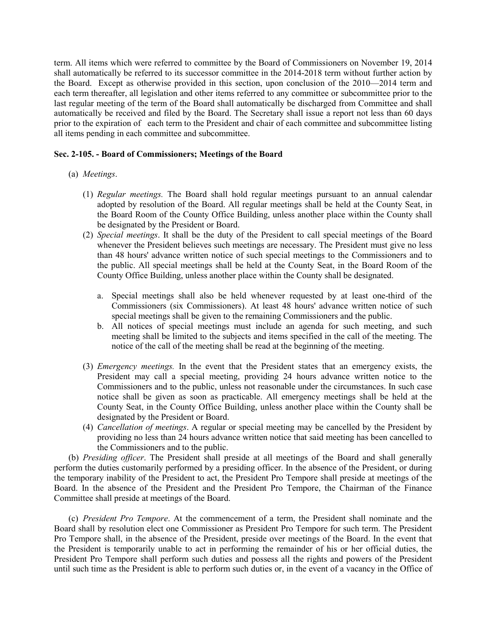term. All items which were referred to committee by the Board of Commissioners on November 19, 2014 shall automatically be referred to its successor committee in the 2014-2018 term without further action by the Board. Except as otherwise provided in this section, upon conclusion of the 2010—2014 term and each term thereafter, all legislation and other items referred to any committee or subcommittee prior to the last regular meeting of the term of the Board shall automatically be discharged from Committee and shall automatically be received and filed by the Board. The Secretary shall issue a report not less than 60 days prior to the expiration of each term to the President and chair of each committee and subcommittee listing all items pending in each committee and subcommittee.

# **Sec. 2-105. - Board of Commissioners; Meetings of the Board**

- (a) *Meetings*.
	- (1) *Regular meetings.* The Board shall hold regular meetings pursuant to an annual calendar adopted by resolution of the Board. All regular meetings shall be held at the County Seat, in the Board Room of the County Office Building, unless another place within the County shall be designated by the President or Board.
	- (2) *Special meetings*. It shall be the duty of the President to call special meetings of the Board whenever the President believes such meetings are necessary. The President must give no less than 48 hours' advance written notice of such special meetings to the Commissioners and to the public. All special meetings shall be held at the County Seat, in the Board Room of the County Office Building, unless another place within the County shall be designated.
		- a. Special meetings shall also be held whenever requested by at least one-third of the Commissioners (six Commissioners). At least 48 hours' advance written notice of such special meetings shall be given to the remaining Commissioners and the public.
		- b. All notices of special meetings must include an agenda for such meeting, and such meeting shall be limited to the subjects and items specified in the call of the meeting. The notice of the call of the meeting shall be read at the beginning of the meeting.
	- (3) *Emergency meetings.* In the event that the President states that an emergency exists, the President may call a special meeting, providing 24 hours advance written notice to the Commissioners and to the public, unless not reasonable under the circumstances. In such case notice shall be given as soon as practicable. All emergency meetings shall be held at the County Seat, in the County Office Building, unless another place within the County shall be designated by the President or Board.
	- (4) *Cancellation of meetings*. A regular or special meeting may be cancelled by the President by providing no less than 24 hours advance written notice that said meeting has been cancelled to the Commissioners and to the public.

(b) *Presiding officer*. The President shall preside at all meetings of the Board and shall generally perform the duties customarily performed by a presiding officer. In the absence of the President, or during the temporary inability of the President to act, the President Pro Tempore shall preside at meetings of the Board. In the absence of the President and the President Pro Tempore, the Chairman of the Finance Committee shall preside at meetings of the Board.

(c) *President Pro Tempore*. At the commencement of a term, the President shall nominate and the Board shall by resolution elect one Commissioner as President Pro Tempore for such term. The President Pro Tempore shall, in the absence of the President, preside over meetings of the Board. In the event that the President is temporarily unable to act in performing the remainder of his or her official duties, the President Pro Tempore shall perform such duties and possess all the rights and powers of the President until such time as the President is able to perform such duties or, in the event of a vacancy in the Office of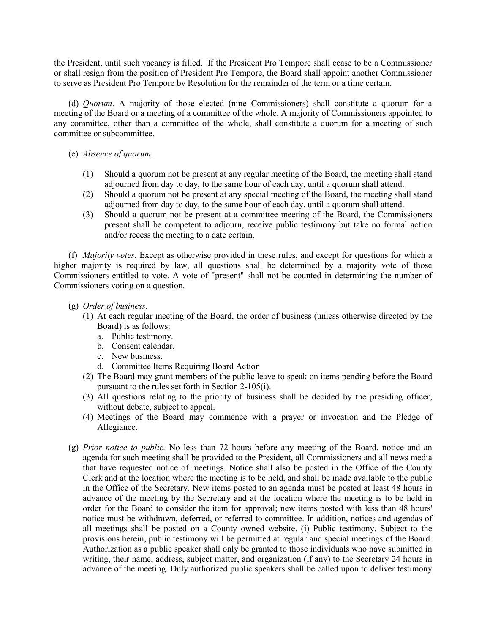the President, until such vacancy is filled. If the President Pro Tempore shall cease to be a Commissioner or shall resign from the position of President Pro Tempore, the Board shall appoint another Commissioner to serve as President Pro Tempore by Resolution for the remainder of the term or a time certain.

(d) *Quorum*. A majority of those elected (nine Commissioners) shall constitute a quorum for a meeting of the Board or a meeting of a committee of the whole. A majority of Commissioners appointed to any committee, other than a committee of the whole, shall constitute a quorum for a meeting of such committee or subcommittee.

## (e) *Absence of quorum*.

- (1) Should a quorum not be present at any regular meeting of the Board, the meeting shall stand adjourned from day to day, to the same hour of each day, until a quorum shall attend.
- (2) Should a quorum not be present at any special meeting of the Board, the meeting shall stand adjourned from day to day, to the same hour of each day, until a quorum shall attend.
- (3) Should a quorum not be present at a committee meeting of the Board, the Commissioners present shall be competent to adjourn, receive public testimony but take no formal action and/or recess the meeting to a date certain.

(f) *Majority votes.* Except as otherwise provided in these rules, and except for questions for which a higher majority is required by law, all questions shall be determined by a majority vote of those Commissioners entitled to vote. A vote of "present" shall not be counted in determining the number of Commissioners voting on a question.

- (g) *Order of business*.
	- (1) At each regular meeting of the Board, the order of business (unless otherwise directed by the Board) is as follows:
		- a. Public testimony.
		- b. Consent calendar.
		- c. New business.
		- d. Committee Items Requiring Board Action
	- (2) The Board may grant members of the public leave to speak on items pending before the Board pursuant to the rules set forth in Section 2-105(i).
	- (3) All questions relating to the priority of business shall be decided by the presiding officer, without debate, subject to appeal.
	- (4) Meetings of the Board may commence with a prayer or invocation and the Pledge of Allegiance.
- (g) *Prior notice to public.* No less than 72 hours before any meeting of the Board, notice and an agenda for such meeting shall be provided to the President, all Commissioners and all news media that have requested notice of meetings. Notice shall also be posted in the Office of the County Clerk and at the location where the meeting is to be held, and shall be made available to the public in the Office of the Secretary. New items posted to an agenda must be posted at least 48 hours in advance of the meeting by the Secretary and at the location where the meeting is to be held in order for the Board to consider the item for approval; new items posted with less than 48 hours' notice must be withdrawn, deferred, or referred to committee. In addition, notices and agendas of all meetings shall be posted on a County owned website. (i) Public testimony. Subject to the provisions herein, public testimony will be permitted at regular and special meetings of the Board. Authorization as a public speaker shall only be granted to those individuals who have submitted in writing, their name, address, subject matter, and organization (if any) to the Secretary 24 hours in advance of the meeting. Duly authorized public speakers shall be called upon to deliver testimony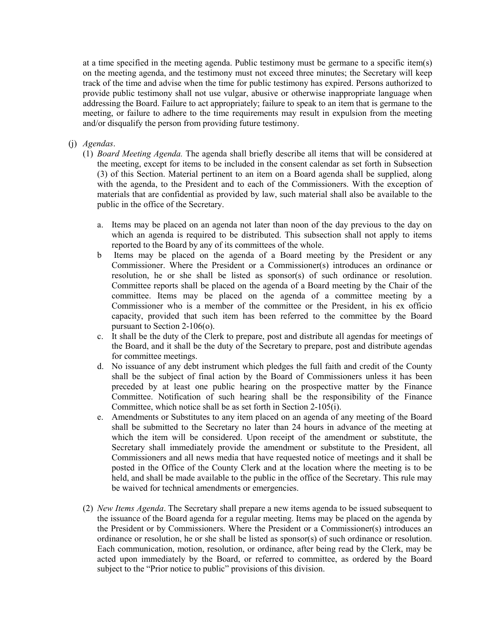at a time specified in the meeting agenda. Public testimony must be germane to a specific item(s) on the meeting agenda, and the testimony must not exceed three minutes; the Secretary will keep track of the time and advise when the time for public testimony has expired. Persons authorized to provide public testimony shall not use vulgar, abusive or otherwise inappropriate language when addressing the Board. Failure to act appropriately; failure to speak to an item that is germane to the meeting, or failure to adhere to the time requirements may result in expulsion from the meeting and/or disqualify the person from providing future testimony.

# (j) *Agendas*.

- (1) *Board Meeting Agenda.* The agenda shall briefly describe all items that will be considered at the meeting, except for items to be included in the consent calendar as set forth in Subsection (3) of this Section. Material pertinent to an item on a Board agenda shall be supplied, along with the agenda, to the President and to each of the Commissioners. With the exception of materials that are confidential as provided by law, such material shall also be available to the public in the office of the Secretary.
	- a. Items may be placed on an agenda not later than noon of the day previous to the day on which an agenda is required to be distributed. This subsection shall not apply to items reported to the Board by any of its committees of the whole.
	- b Items may be placed on the agenda of a Board meeting by the President or any Commissioner. Where the President or a Commissioner(s) introduces an ordinance or resolution, he or she shall be listed as sponsor(s) of such ordinance or resolution. Committee reports shall be placed on the agenda of a Board meeting by the Chair of the committee. Items may be placed on the agenda of a committee meeting by a Commissioner who is a member of the committee or the President, in his ex officio capacity, provided that such item has been referred to the committee by the Board pursuant to Section 2-106(o).
	- c. It shall be the duty of the Clerk to prepare, post and distribute all agendas for meetings of the Board, and it shall be the duty of the Secretary to prepare, post and distribute agendas for committee meetings.
	- d. No issuance of any debt instrument which pledges the full faith and credit of the County shall be the subject of final action by the Board of Commissioners unless it has been preceded by at least one public hearing on the prospective matter by the Finance Committee. Notification of such hearing shall be the responsibility of the Finance Committee, which notice shall be as set forth in Section 2-105(i).
	- e. Amendments or Substitutes to any item placed on an agenda of any meeting of the Board shall be submitted to the Secretary no later than 24 hours in advance of the meeting at which the item will be considered. Upon receipt of the amendment or substitute, the Secretary shall immediately provide the amendment or substitute to the President, all Commissioners and all news media that have requested notice of meetings and it shall be posted in the Office of the County Clerk and at the location where the meeting is to be held, and shall be made available to the public in the office of the Secretary. This rule may be waived for technical amendments or emergencies.
- (2) *New Items Agenda*. The Secretary shall prepare a new items agenda to be issued subsequent to the issuance of the Board agenda for a regular meeting. Items may be placed on the agenda by the President or by Commissioners. Where the President or a Commissioner(s) introduces an ordinance or resolution, he or she shall be listed as sponsor(s) of such ordinance or resolution. Each communication, motion, resolution, or ordinance, after being read by the Clerk, may be acted upon immediately by the Board, or referred to committee, as ordered by the Board subject to the "Prior notice to public" provisions of this division.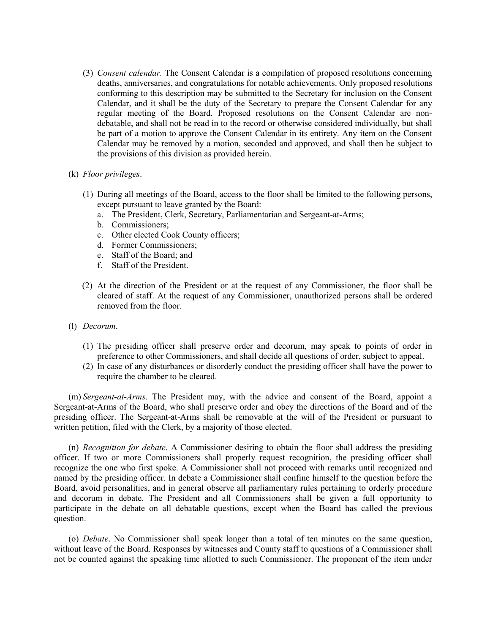- (3) *Consent calendar.* The Consent Calendar is a compilation of proposed resolutions concerning deaths, anniversaries, and congratulations for notable achievements. Only proposed resolutions conforming to this description may be submitted to the Secretary for inclusion on the Consent Calendar, and it shall be the duty of the Secretary to prepare the Consent Calendar for any regular meeting of the Board. Proposed resolutions on the Consent Calendar are nondebatable, and shall not be read in to the record or otherwise considered individually, but shall be part of a motion to approve the Consent Calendar in its entirety. Any item on the Consent Calendar may be removed by a motion, seconded and approved, and shall then be subject to the provisions of this division as provided herein.
- (k) *Floor privileges*.
	- (1) During all meetings of the Board, access to the floor shall be limited to the following persons, except pursuant to leave granted by the Board:
		- a. The President, Clerk, Secretary, Parliamentarian and Sergeant-at-Arms;
		- b. Commissioners;
		- c. Other elected Cook County officers;
		- d. Former Commissioners;
		- e. Staff of the Board; and
		- f. Staff of the President.
	- (2) At the direction of the President or at the request of any Commissioner, the floor shall be cleared of staff. At the request of any Commissioner, unauthorized persons shall be ordered removed from the floor.
- (l) *Decorum*.
	- (1) The presiding officer shall preserve order and decorum, may speak to points of order in preference to other Commissioners, and shall decide all questions of order, subject to appeal.
	- (2) In case of any disturbances or disorderly conduct the presiding officer shall have the power to require the chamber to be cleared.

(m) *Sergeant-at-Arms*. The President may, with the advice and consent of the Board, appoint a Sergeant-at-Arms of the Board, who shall preserve order and obey the directions of the Board and of the presiding officer. The Sergeant-at-Arms shall be removable at the will of the President or pursuant to written petition, filed with the Clerk, by a majority of those elected.

(n) *Recognition for debate*. A Commissioner desiring to obtain the floor shall address the presiding officer. If two or more Commissioners shall properly request recognition, the presiding officer shall recognize the one who first spoke. A Commissioner shall not proceed with remarks until recognized and named by the presiding officer. In debate a Commissioner shall confine himself to the question before the Board, avoid personalities, and in general observe all parliamentary rules pertaining to orderly procedure and decorum in debate. The President and all Commissioners shall be given a full opportunity to participate in the debate on all debatable questions, except when the Board has called the previous question.

(o) *Debate*. No Commissioner shall speak longer than a total of ten minutes on the same question, without leave of the Board. Responses by witnesses and County staff to questions of a Commissioner shall not be counted against the speaking time allotted to such Commissioner. The proponent of the item under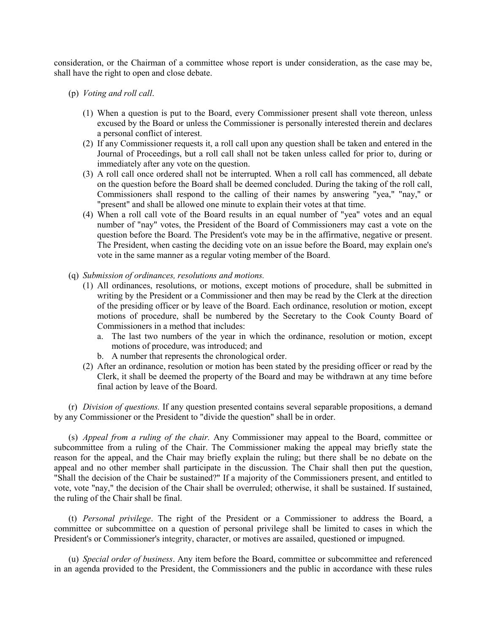consideration, or the Chairman of a committee whose report is under consideration, as the case may be, shall have the right to open and close debate.

- (p) *Voting and roll call*.
	- (1) When a question is put to the Board, every Commissioner present shall vote thereon, unless excused by the Board or unless the Commissioner is personally interested therein and declares a personal conflict of interest.
	- (2) If any Commissioner requests it, a roll call upon any question shall be taken and entered in the Journal of Proceedings, but a roll call shall not be taken unless called for prior to, during or immediately after any vote on the question.
	- (3) A roll call once ordered shall not be interrupted. When a roll call has commenced, all debate on the question before the Board shall be deemed concluded. During the taking of the roll call, Commissioners shall respond to the calling of their names by answering "yea," "nay," or "present" and shall be allowed one minute to explain their votes at that time.
	- (4) When a roll call vote of the Board results in an equal number of "yea" votes and an equal number of "nay" votes, the President of the Board of Commissioners may cast a vote on the question before the Board. The President's vote may be in the affirmative, negative or present. The President, when casting the deciding vote on an issue before the Board, may explain one's vote in the same manner as a regular voting member of the Board.
- (q) *Submission of ordinances, resolutions and motions.*
	- (1) All ordinances, resolutions, or motions, except motions of procedure, shall be submitted in writing by the President or a Commissioner and then may be read by the Clerk at the direction of the presiding officer or by leave of the Board. Each ordinance, resolution or motion, except motions of procedure, shall be numbered by the Secretary to the Cook County Board of Commissioners in a method that includes:
		- a. The last two numbers of the year in which the ordinance, resolution or motion, except motions of procedure, was introduced; and
		- b. A number that represents the chronological order.
	- (2) After an ordinance, resolution or motion has been stated by the presiding officer or read by the Clerk, it shall be deemed the property of the Board and may be withdrawn at any time before final action by leave of the Board.

(r) *Division of questions.* If any question presented contains several separable propositions, a demand by any Commissioner or the President to "divide the question" shall be in order.

(s) *Appeal from a ruling of the chair.* Any Commissioner may appeal to the Board, committee or subcommittee from a ruling of the Chair. The Commissioner making the appeal may briefly state the reason for the appeal, and the Chair may briefly explain the ruling; but there shall be no debate on the appeal and no other member shall participate in the discussion. The Chair shall then put the question, "Shall the decision of the Chair be sustained?" If a majority of the Commissioners present, and entitled to vote, vote "nay," the decision of the Chair shall be overruled; otherwise, it shall be sustained. If sustained, the ruling of the Chair shall be final.

(t) *Personal privilege*. The right of the President or a Commissioner to address the Board, a committee or subcommittee on a question of personal privilege shall be limited to cases in which the President's or Commissioner's integrity, character, or motives are assailed, questioned or impugned.

(u) *Special order of business*. Any item before the Board, committee or subcommittee and referenced in an agenda provided to the President, the Commissioners and the public in accordance with these rules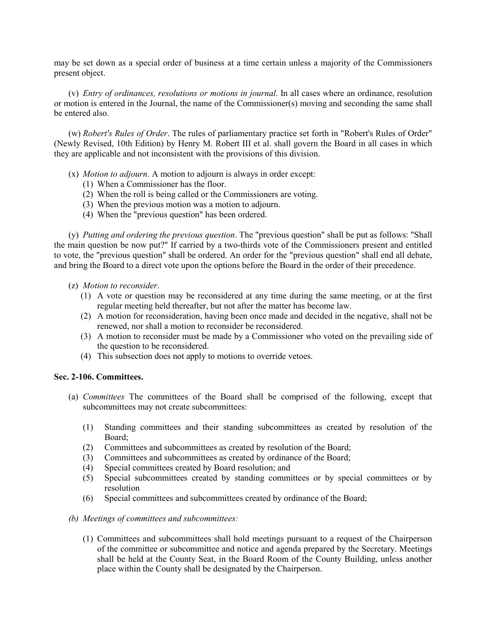may be set down as a special order of business at a time certain unless a majority of the Commissioners present object.

(v) *Entry of ordinances, resolutions or motions in journal*. In all cases where an ordinance, resolution or motion is entered in the Journal, the name of the Commissioner(s) moving and seconding the same shall be entered also.

(w) *Robert's Rules of Order*. The rules of parliamentary practice set forth in "Robert's Rules of Order" (Newly Revised, 10th Edition) by Henry M. Robert III et al. shall govern the Board in all cases in which they are applicable and not inconsistent with the provisions of this division.

- (x) *Motion to adjourn*. A motion to adjourn is always in order except:
	- (1) When a Commissioner has the floor.
	- (2) When the roll is being called or the Commissioners are voting.
	- (3) When the previous motion was a motion to adjourn.
	- (4) When the "previous question" has been ordered.

(y) *Putting and ordering the previous question*. The "previous question" shall be put as follows: "Shall the main question be now put?" If carried by a two-thirds vote of the Commissioners present and entitled to vote, the "previous question" shall be ordered. An order for the "previous question" shall end all debate, and bring the Board to a direct vote upon the options before the Board in the order of their precedence.

- (z) *Motion to reconsider*.
	- (1) A vote or question may be reconsidered at any time during the same meeting, or at the first regular meeting held thereafter, but not after the matter has become law.
	- (2) A motion for reconsideration, having been once made and decided in the negative, shall not be renewed, nor shall a motion to reconsider be reconsidered.
	- (3) A motion to reconsider must be made by a Commissioner who voted on the prevailing side of the question to be reconsidered.
	- (4) This subsection does not apply to motions to override vetoes.

## **Sec. 2-106. Committees.**

- (a) *Committees* The committees of the Board shall be comprised of the following, except that subcommittees may not create subcommittees:
	- (1) Standing committees and their standing subcommittees as created by resolution of the Board;
	- (2) Committees and subcommittees as created by resolution of the Board;
	- (3) Committees and subcommittees as created by ordinance of the Board;
	- (4) Special committees created by Board resolution; and
	- (5) Special subcommittees created by standing committees or by special committees or by resolution
	- (6) Special committees and subcommittees created by ordinance of the Board;
- *(b) Meetings of committees and subcommittees:* 
	- (1) Committees and subcommittees shall hold meetings pursuant to a request of the Chairperson of the committee or subcommittee and notice and agenda prepared by the Secretary. Meetings shall be held at the County Seat, in the Board Room of the County Building, unless another place within the County shall be designated by the Chairperson.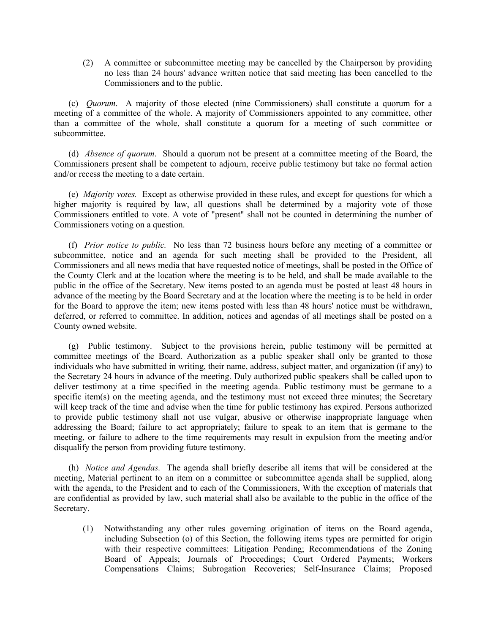(2) A committee or subcommittee meeting may be cancelled by the Chairperson by providing no less than 24 hours' advance written notice that said meeting has been cancelled to the Commissioners and to the public.

(c) *Quorum*. A majority of those elected (nine Commissioners) shall constitute a quorum for a meeting of a committee of the whole. A majority of Commissioners appointed to any committee, other than a committee of the whole, shall constitute a quorum for a meeting of such committee or subcommittee.

(d) *Absence of quorum*. Should a quorum not be present at a committee meeting of the Board, the Commissioners present shall be competent to adjourn, receive public testimony but take no formal action and/or recess the meeting to a date certain.

(e) *Majority votes.* Except as otherwise provided in these rules, and except for questions for which a higher majority is required by law, all questions shall be determined by a majority vote of those Commissioners entitled to vote. A vote of "present" shall not be counted in determining the number of Commissioners voting on a question.

(f) *Prior notice to public.* No less than 72 business hours before any meeting of a committee or subcommittee, notice and an agenda for such meeting shall be provided to the President, all Commissioners and all news media that have requested notice of meetings, shall be posted in the Office of the County Clerk and at the location where the meeting is to be held, and shall be made available to the public in the office of the Secretary. New items posted to an agenda must be posted at least 48 hours in advance of the meeting by the Board Secretary and at the location where the meeting is to be held in order for the Board to approve the item; new items posted with less than 48 hours' notice must be withdrawn, deferred, or referred to committee. In addition, notices and agendas of all meetings shall be posted on a County owned website.

(g) Public testimony. Subject to the provisions herein, public testimony will be permitted at committee meetings of the Board. Authorization as a public speaker shall only be granted to those individuals who have submitted in writing, their name, address, subject matter, and organization (if any) to the Secretary 24 hours in advance of the meeting. Duly authorized public speakers shall be called upon to deliver testimony at a time specified in the meeting agenda. Public testimony must be germane to a specific item(s) on the meeting agenda, and the testimony must not exceed three minutes; the Secretary will keep track of the time and advise when the time for public testimony has expired. Persons authorized to provide public testimony shall not use vulgar, abusive or otherwise inappropriate language when addressing the Board; failure to act appropriately; failure to speak to an item that is germane to the meeting, or failure to adhere to the time requirements may result in expulsion from the meeting and/or disqualify the person from providing future testimony.

(h) *Notice and Agendas.* The agenda shall briefly describe all items that will be considered at the meeting, Material pertinent to an item on a committee or subcommittee agenda shall be supplied, along with the agenda, to the President and to each of the Commissioners, With the exception of materials that are confidential as provided by law, such material shall also be available to the public in the office of the Secretary.

(1) Notwithstanding any other rules governing origination of items on the Board agenda, including Subsection (o) of this Section, the following items types are permitted for origin with their respective committees: Litigation Pending; Recommendations of the Zoning Board of Appeals; Journals of Proceedings; Court Ordered Payments; Workers Compensations Claims; Subrogation Recoveries; Self-Insurance Claims; Proposed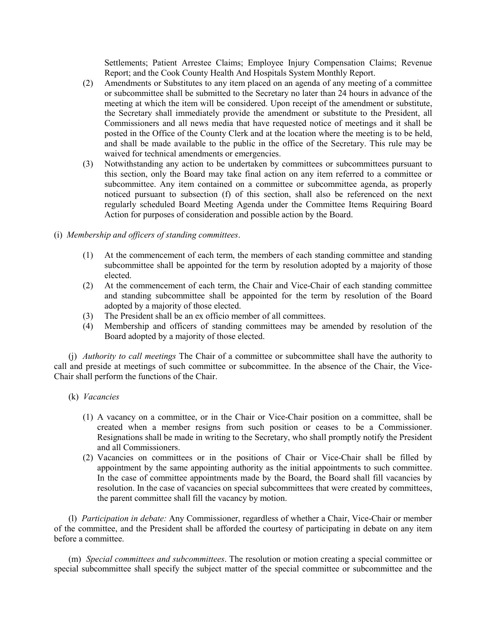Settlements; Patient Arrestee Claims; Employee Injury Compensation Claims; Revenue Report; and the Cook County Health And Hospitals System Monthly Report.

- (2) Amendments or Substitutes to any item placed on an agenda of any meeting of a committee or subcommittee shall be submitted to the Secretary no later than 24 hours in advance of the meeting at which the item will be considered. Upon receipt of the amendment or substitute, the Secretary shall immediately provide the amendment or substitute to the President, all Commissioners and all news media that have requested notice of meetings and it shall be posted in the Office of the County Clerk and at the location where the meeting is to be held, and shall be made available to the public in the office of the Secretary. This rule may be waived for technical amendments or emergencies.
- (3) Notwithstanding any action to be undertaken by committees or subcommittees pursuant to this section, only the Board may take final action on any item referred to a committee or subcommittee. Any item contained on a committee or subcommittee agenda, as properly noticed pursuant to subsection (f) of this section, shall also be referenced on the next regularly scheduled Board Meeting Agenda under the Committee Items Requiring Board Action for purposes of consideration and possible action by the Board.
- (i) *Membership and officers of standing committees*.
	- (1) At the commencement of each term, the members of each standing committee and standing subcommittee shall be appointed for the term by resolution adopted by a majority of those elected.
	- (2) At the commencement of each term, the Chair and Vice-Chair of each standing committee and standing subcommittee shall be appointed for the term by resolution of the Board adopted by a majority of those elected.
	- (3) The President shall be an ex officio member of all committees.
	- (4) Membership and officers of standing committees may be amended by resolution of the Board adopted by a majority of those elected.

(j) *Authority to call meetings* The Chair of a committee or subcommittee shall have the authority to call and preside at meetings of such committee or subcommittee. In the absence of the Chair, the Vice-Chair shall perform the functions of the Chair.

- (k) *Vacancies* 
	- (1) A vacancy on a committee, or in the Chair or Vice-Chair position on a committee, shall be created when a member resigns from such position or ceases to be a Commissioner. Resignations shall be made in writing to the Secretary, who shall promptly notify the President and all Commissioners.
	- (2) Vacancies on committees or in the positions of Chair or Vice-Chair shall be filled by appointment by the same appointing authority as the initial appointments to such committee. In the case of committee appointments made by the Board, the Board shall fill vacancies by resolution. In the case of vacancies on special subcommittees that were created by committees, the parent committee shall fill the vacancy by motion.

(l) *Participation in debate:* Any Commissioner, regardless of whether a Chair, Vice-Chair or member of the committee, and the President shall be afforded the courtesy of participating in debate on any item before a committee.

(m) *Special committees and subcommittees*. The resolution or motion creating a special committee or special subcommittee shall specify the subject matter of the special committee or subcommittee and the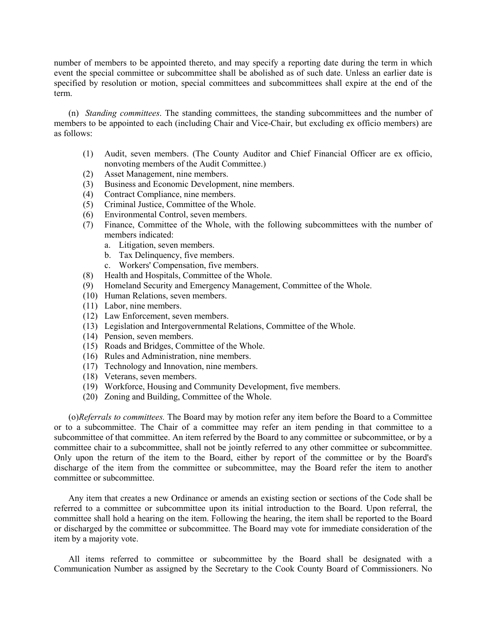number of members to be appointed thereto, and may specify a reporting date during the term in which event the special committee or subcommittee shall be abolished as of such date. Unless an earlier date is specified by resolution or motion, special committees and subcommittees shall expire at the end of the term.

(n) *Standing committees*. The standing committees, the standing subcommittees and the number of members to be appointed to each (including Chair and Vice-Chair, but excluding ex officio members) are as follows:

- (1) Audit, seven members. (The County Auditor and Chief Financial Officer are ex officio, nonvoting members of the Audit Committee.)
- (2) Asset Management, nine members.
- (3) Business and Economic Development, nine members.<br>(4) Contract Compliance, nine members.
- Contract Compliance, nine members.
- (5) Criminal Justice, Committee of the Whole.
- (6) Environmental Control, seven members.
- (7) Finance, Committee of the Whole, with the following subcommittees with the number of members indicated:
	- a. Litigation, seven members.
	- b. Tax Delinquency, five members.
	- c. Workers' Compensation, five members.
- (8) Health and Hospitals, Committee of the Whole.
- (9) Homeland Security and Emergency Management, Committee of the Whole.
- (10) Human Relations, seven members.
- (11) Labor, nine members.
- (12) Law Enforcement, seven members.
- (13) Legislation and Intergovernmental Relations, Committee of the Whole.
- (14) Pension, seven members.
- (15) Roads and Bridges, Committee of the Whole.
- (16) Rules and Administration, nine members.
- (17) Technology and Innovation, nine members.
- (18) Veterans, seven members.
- (19) Workforce, Housing and Community Development, five members.
- (20) Zoning and Building, Committee of the Whole.

(o)*Referrals to committees.* The Board may by motion refer any item before the Board to a Committee or to a subcommittee. The Chair of a committee may refer an item pending in that committee to a subcommittee of that committee. An item referred by the Board to any committee or subcommittee, or by a committee chair to a subcommittee, shall not be jointly referred to any other committee or subcommittee. Only upon the return of the item to the Board, either by report of the committee or by the Board's discharge of the item from the committee or subcommittee, may the Board refer the item to another committee or subcommittee.

Any item that creates a new Ordinance or amends an existing section or sections of the Code shall be referred to a committee or subcommittee upon its initial introduction to the Board. Upon referral, the committee shall hold a hearing on the item. Following the hearing, the item shall be reported to the Board or discharged by the committee or subcommittee. The Board may vote for immediate consideration of the item by a majority vote.

All items referred to committee or subcommittee by the Board shall be designated with a Communication Number as assigned by the Secretary to the Cook County Board of Commissioners. No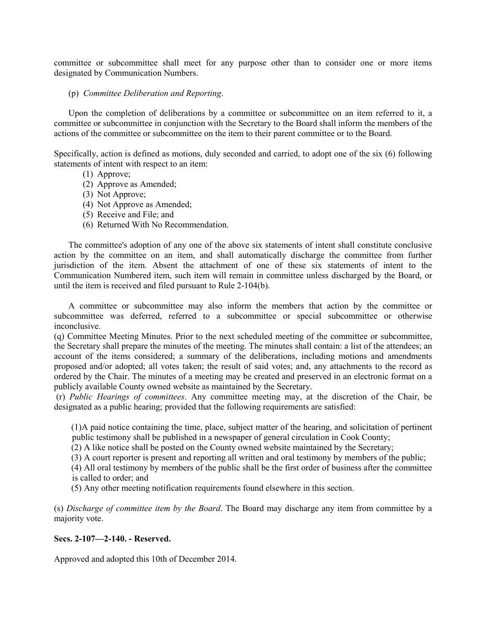committee or subcommittee shall meet for any purpose other than to consider one or more items designated by Communication Numbers.

## (p) *Committee Deliberation and Reporting*.

Upon the completion of deliberations by a committee or subcommittee on an item referred to it, a committee or subcommittee in conjunction with the Secretary to the Board shall inform the members of the actions of the committee or subcommittee on the item to their parent committee or to the Board.

Specifically, action is defined as motions, duly seconded and carried, to adopt one of the six (6) following statements of intent with respect to an item:

- (1) Approve;
- (2) Approve as Amended;
- (3) Not Approve;
- (4) Not Approve as Amended;
- (5) Receive and File; and
- (6) Returned With No Recommendation.

The committee's adoption of any one of the above six statements of intent shall constitute conclusive action by the committee on an item, and shall automatically discharge the committee from further jurisdiction of the item. Absent the attachment of one of these six statements of intent to the Communication Numbered item, such item will remain in committee unless discharged by the Board, or until the item is received and filed pursuant to Rule 2-104(b).

A committee or subcommittee may also inform the members that action by the committee or subcommittee was deferred, referred to a subcommittee or special subcommittee or otherwise inconclusive.

(q) Committee Meeting Minutes. Prior to the next scheduled meeting of the committee or subcommittee, the Secretary shall prepare the minutes of the meeting. The minutes shall contain: a list of the attendees; an account of the items considered; a summary of the deliberations, including motions and amendments proposed and/or adopted; all votes taken; the result of said votes; and, any attachments to the record as ordered by the Chair. The minutes of a meeting may be created and preserved in an electronic format on a publicly available County owned website as maintained by the Secretary.

 (r) *Public Hearings of committees*. Any committee meeting may, at the discretion of the Chair, be designated as a public hearing; provided that the following requirements are satisfied:

(1)A paid notice containing the time, place, subject matter of the hearing, and solicitation of pertinent public testimony shall be published in a newspaper of general circulation in Cook County;

(2) A like notice shall be posted on the County owned website maintained by the Secretary;

(3) A court reporter is present and reporting all written and oral testimony by members of the public;

(4) All oral testimony by members of the public shall be the first order of business after the committee is called to order; and

(5) Any other meeting notification requirements found elsewhere in this section.

(s) *Discharge of committee item by the Board*. The Board may discharge any item from committee by a majority vote.

# **Secs. 2-107—2-140. - Reserved.**

Approved and adopted this 10th of December 2014.